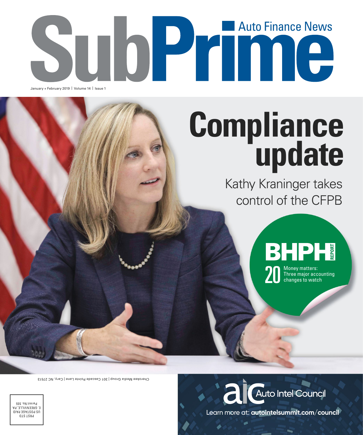# SUDP HOUGHER January + February 2019 | Volume 14 | Issue 1

## **Compliance update**

Kathy Kraninger takes control of the CFPB



and the contribution of the contract of the contract of the contract of the contract of the contract of the contract of the contract of the contract of the contract of the contract of the contract of the contract of the co Three major accounting changes to watch

Cherokee Media Group | 301 Cascade Pointe Lane | Cary, NC 27513



PRST STD US POSTAGE PAID E. GREENVILLE, PA Permit No. 555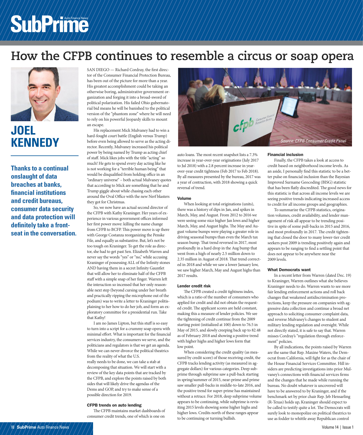## SubPrime

### **How the CFPB continues to resemble a circus or soap opera**



### **JOEL**

**Thanks to a continual onslaught of data breaches at banks, fi nancial institutions and credit bureaus, consumer data security and data protection will**  definitely take a front**seat in the conversation.** SAN DIEGO - Richard Cordray, the first director of the Consumer Financial Protection Bureau, has been out of the picture for more than a year. His greatest accomplishment could be taking an otherwise boring, administrative government organization and forging it into a broad-sword of political polarization. His failed Ohio gubernatorial bid means he will be banished to the political version of the "phantom zone" where he will need to rely on his powerful Jeopardy skills to mount an escape.

His replacement Mick Mulvaney had to win a hard-fought court battle (English versus Trump) before even being allowed to serve as the acting director. Recently, Mulvaney increased his political power by being named by Trump as acting chief of staff. Mick likes jobs with the title "acting" so much! He gets to spend every day acting like he is not working for a "terrible human being" that would be disqualified from holding office in an "ordinary universe" – both actual Mulvaney quotes that according to Mick are something that he and Trump giggle about while chasing each other around the Oval Office with the new Nerf blasters they got for Christmas.

So, we now have an actual second director of the CFPB with Kathy Kraninger. Her years of experience in various government offices informed her first power move: killing the name change from CFPB to BCFP. This power move is up there with George Costanza reorganizing the Penske File, and equally as substantive. But, let's not be too tough on Kraninger. To get the role as director, she had to get past Sen. Elizabeth Warren and never say the words "yes" or "no," while accusing Kraninger of possessing ALL of the Infinity stones AND having them in a secret Infinity Gauntlet that will allow her to eliminate half of the CFPB staff with a simple snap of her finger. Warren left the interaction so incensed that her only reasonable next step (beyond cursing under her breath and practically ripping the microphone out of the podium) was to write a letter to Kraninger politisplaining to her how to do her job, and form an exploratory committee for a presidential run. Take that Kathy!

I am no James Lipton, but this stuff is so easy to turn into a script for a crummy soap opera with minimal effort. What is important for the financial services industry, the consumers we serve, and the politicians and regulators is that we get an agenda. While we can never divorce the political theatrics from the reality of what the U.S. really needs to be done, we can take a stab at decomposing that situation. We will start with a review of the key data points that are tracked by the CFPB, and explore the points raised by both sides that will likely drive the agendas of the Dems and GOP, and try to make sense of a possible direction for 2019.

### CFPB trends on auto lending

The CFPB maintains market dashboards of consumer credit trends, one of which is one on



auto loans. The most recent snapshot lists a 7.3% increase in year-over-year originations (July 2017 to Jul 2018) with a 2.8 percent increase in yearover-year credit tightness (Feb 2017 to Feb 2018). By all measures presented by the bureau, 2017 was a year of contraction, with 2018 showing a quick reversal of trend.

### Volume

When looking at total originations (units), there was a history of dips in Jan, and spikes in March, May, and August. From 2012 to 2016 we were seeing some nice higher Jan lows and higher March, May, and August highs. The May and August volume bumps were playing a greater role in driving seasonal bumps than even the March tax season bump. That trend reversed in 2017, most profoundly in a hard drop in the Aug bump that went from a high of nearly 2.5 million down to 2.35 million in August of 2018. That trend corrected in 2018 and while we saw a lower January low, we saw higher March, May and August highs than 2017 results.

### Lender credit risk

The CFPB created a credit tightness index, which is a ratio of the number of consumers who applied for credit and did not obtain the requested credit. The applicant scores are held constant, making this a measure of lender policies. We see the tightening of credit continue from the 2009 starting point (initialized at 100) down to 76.5 in May of 2015, and slowly creeping back up to 82.48 as of February 2018 and showing a positive trend with higher highs and higher lows form that low point.

When considering the credit quality (as measured by credit score) of those receiving credit, the CFPB tracks lending activity (as measured in aggregate dollars) for various categories. Deep subprime through subprime saw a pull-back starting in spring/summer of 2015, near-prime and prime saw smaller pull-backs in middle-to-late 2016, and the positive trend for super-prime has maintained without a retrace. For 2018, deep subprime volume appears to be continuing, while subprime is revisiting 2015 levels showing some higher highs and higher lows. Credits north of these ranges appear to be continuing or turning bullish.

### Financial inclusion

Finally, the CFPB takes a look at access to credit based on neighborhood income levels. As an aside, I personally find this statistic to be a better pulse on financial inclusion than the Bayesian Improved Surname Geocoding (BISG) statistic that has been flatly discredited. The good news for this statistic is that across all income levels we are seeing positive trends indicating increased access to credit for all income groups and geographies.

To summarize the CFPB statistics, origination volumes, credit availability, and lender management of risk all appear to be trending positive in spite of some pull-backs in 2015 and 2016, and most profoundly in 2017. The credit tightening that closed the door to many lower-tier credit seekers post 2009 is trending positively again and appears to be ranging to find a settling point that does not appear to be anywhere near the 2009 levels.

### What Democrats want

In a recent letter from Warren (dated Dec. 19) to Kraninger, Warren outlines what she believes Kraninger needs to do. Warren wants to see more fair lending enforcement actions and roll back changes that weakened antidiscrimination protections, keep the pressure on companies with aggressive data collection and continue a broad net approach to soliciting consumer complaint data, and reverse Mulvaney's changes to student and military lending regulation and oversight. While not directly stated, it is safe to say that. Warren misses Cordray's "regulation through enforcement" policies.

By all indications, the points raised by Warren are the same that Rep. Maxine Waters, the Democrat from California, will fight for as the chair of the House Financial Services Committee. Hill insiders are predicting investigations into prior Mulvaney's connections with financial services firms and the changes that he made while running the bureau. No doubt whatever is uncovered will have to be answered to by Kraninger, and if the benchmark set by prior chair Rep. Jeb Hensarling (R-Texas) holds up, Kraninger should expect to be called to testify quite a lot. The Democrats will surely look to monopolize on political theatrics to use as fodder to whittle away Republican control